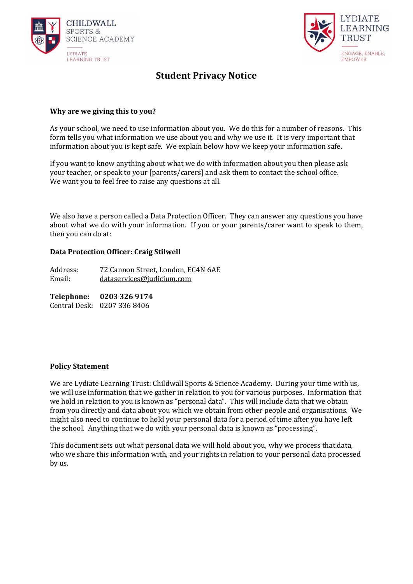



# **Student Privacy Notice**

# **Why are we giving this to you?**

As your school, we need to use information about you. We do this for a number of reasons. This form tells you what information we use about you and why we use it. It is very important that information about you is kept safe. We explain below how we keep your information safe.

If you want to know anything about what we do with information about you then please ask your teacher, or speak to your [parents/carers] and ask them to contact the school office. We want you to feel free to raise any questions at all.

We also have a person called a Data Protection Officer. They can answer any questions you have about what we do with your information. If you or your parents/carer want to speak to them, then you can do at:

## **Data Protection Officer: Craig Stilwell**

Address: 72 Cannon Street, London, EC4N 6AE Email: [dataservices@judicium.com](mailto:dataservices@judicium.com)

**Telephone: 0203 326 9174** Central Desk: 0207 336 8406

#### **Policy Statement**

We are Lydiate Learning Trust: Childwall Sports & Science Academy. During your time with us, we will use information that we gather in relation to you for various purposes. Information that we hold in relation to you is known as "personal data". This will include data that we obtain from you directly and data about you which we obtain from other people and organisations. We might also need to continue to hold your personal data for a period of time after you have left the school. Anything that we do with your personal data is known as "processing".

This document sets out what personal data we will hold about you, why we process that data, who we share this information with, and your rights in relation to your personal data processed by us.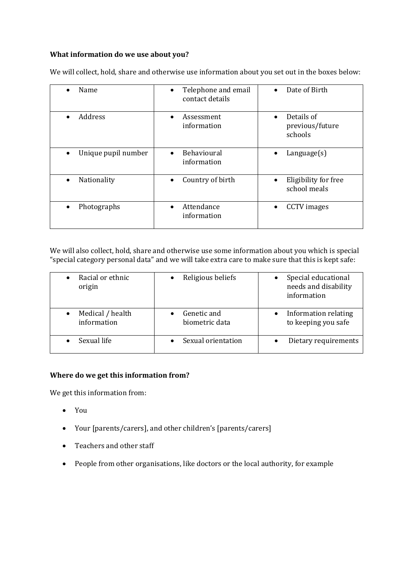# **What information do we use about you?**

| Name                             | Telephone and email<br>$\bullet$<br>contact details | Date of Birth                            |
|----------------------------------|-----------------------------------------------------|------------------------------------------|
| Address<br>$\bullet$             | Assessment<br>information                           | Details of<br>previous/future<br>schools |
| Unique pupil number<br>$\bullet$ | Behavioural<br>$\bullet$<br>information             | $L$ anguage $(s)$                        |
| Nationality<br>$\bullet$         | Country of birth                                    | Eligibility for free<br>school meals     |
| Photographs<br>$\bullet$         | Attendance<br>$\bullet$<br>information              | <b>CCTV</b> images                       |

We will collect, hold, share and otherwise use information about you set out in the boxes below:

We will also collect, hold, share and otherwise use some information about you which is special "special category personal data" and we will take extra care to make sure that this is kept safe:

| Racial or ethnic<br>origin      | Religious beliefs             | Special educational<br>needs and disability<br>information |
|---------------------------------|-------------------------------|------------------------------------------------------------|
| Medical / health<br>information | Genetic and<br>biometric data | Information relating<br>to keeping you safe                |
| Sexual life                     | Sexual orientation            | Dietary requirements                                       |

# **Where do we get this information from?**

We get this information from:

- You
- Your [parents/carers], and other children's [parents/carers]
- Teachers and other staff
- People from other organisations, like doctors or the local authority, for example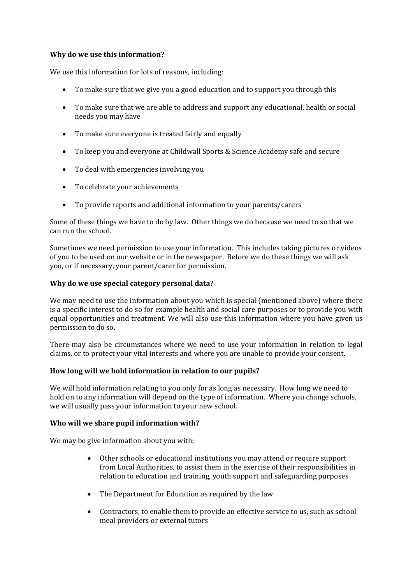# **Why do we use this information?**

We use this information for lots of reasons, including:

- To make sure that we give you a good education and to support you through this
- To make sure that we are able to address and support any educational, health or social needs you may have
- To make sure everyone is treated fairly and equally
- To keep you and everyone at Childwall Sports & Science Academy safe and secure
- To deal with emergencies involving you
- To celebrate your achievements
- To provide reports and additional information to your parents/carers

Some of these things we have to do by law. Other things we do because we need to so that we can run the school.

Sometimes we need permission to use your information. This includes taking pictures or videos of you to be used on our website or in the newspaper. Before we do these things we will ask you, or if necessary, your parent/carer for permission.

#### **Why do we use special category personal data?**

We may need to use the information about you which is special (mentioned above) where there is a specific interest to do so for example health and social care purposes or to provide you with equal opportunities and treatment. We will also use this information where you have given us permission to do so.

There may also be circumstances where we need to use your information in relation to legal claims, or to protect your vital interests and where you are unable to provide your consent.

#### **How long will we hold information in relation to our pupils?**

We will hold information relating to you only for as long as necessary. How long we need to hold on to any information will depend on the type of information. Where you change schools, we will usually pass your information to your new school.

#### **Who will we share pupil information with?**

We may be give information about you with:

- Other schools or educational institutions you may attend or require support from Local Authorities, to assist them in the exercise of their responsibilities in relation to education and training, youth support and safeguarding purposes
- The Department for Education as required by the law
- Contractors, to enable them to provide an effective service to us, such as school meal providers or external tutors